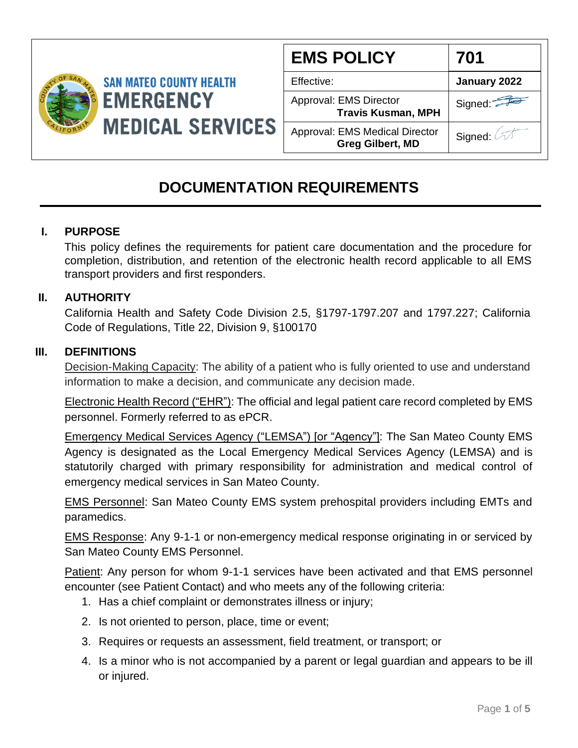

| <b>EMS POLICY</b>                                                | 701          |
|------------------------------------------------------------------|--------------|
| Effective:                                                       | January 2022 |
| Approval: EMS Director<br><b>Travis Kusman, MPH</b>              | Signed:      |
| <b>Approval: EMS Medical Director</b><br><b>Greg Gilbert, MD</b> | Signed:      |

# **DOCUMENTATION REQUIREMENTS**

# **I. PURPOSE**

 This policy defines the requirements for patient care documentation and the procedure for completion, distribution, and retention of the electronic health record applicable to all EMS transport providers and first responders.

# **II. AUTHORITY**

California Health and Safety Code Division 2.5, §1797-1797.207 and 1797.227; California Code of Regulations, Title 22, Division 9, §100170

#### **III. DEFINITIONS**

Decision-Making Capacity: The ability of a patient who is fully oriented to use and understand information to make a decision, and communicate any decision made.

Electronic Health Record ("EHR"): The official and legal patient care record completed by EMS personnel. Formerly referred to as ePCR.

Emergency Medical Services Agency ("LEMSA") [or "Agency"]: The San Mateo County EMS Agency is designated as the Local Emergency Medical Services Agency (LEMSA) and is statutorily charged with primary responsibility for administration and medical control of emergency medical services in San Mateo County.

EMS Personnel: San Mateo County EMS system prehospital providers including EMTs and paramedics.

EMS Response: Any 9-1-1 or non-emergency medical response originating in or serviced by San Mateo County EMS Personnel.

Patient: Any person for whom 9-1-1 services have been activated and that EMS personnel encounter (see Patient Contact) and who meets any of the following criteria:

- 1. Has a chief complaint or demonstrates illness or injury;
- 2. Is not oriented to person, place, time or event;
- 3. Requires or requests an assessment, field treatment, or transport; or
- 4. Is a minor who is not accompanied by a parent or legal guardian and appears to be ill or injured.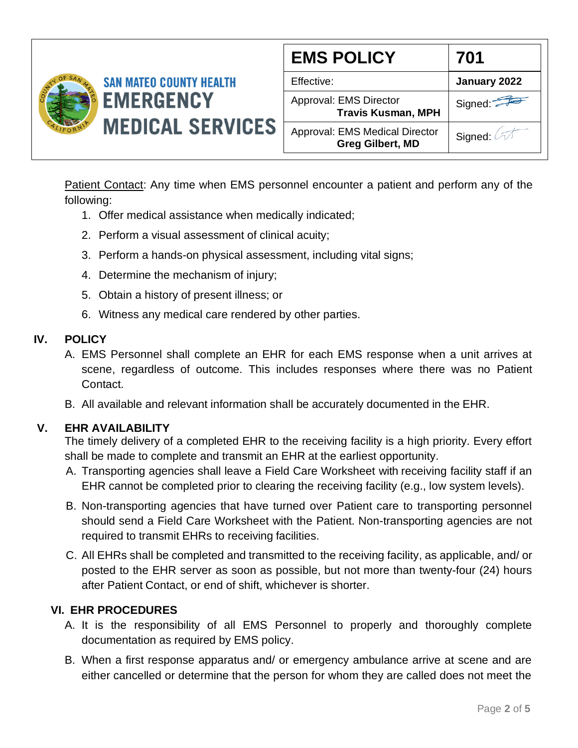

| <b>EMS POLICY</b>                                                | 701          |
|------------------------------------------------------------------|--------------|
| Effective:                                                       | January 2022 |
| Approval: EMS Director<br><b>Travis Kusman, MPH</b>              | Signed:      |
| <b>Approval: EMS Medical Director</b><br><b>Greg Gilbert, MD</b> | Signed: 4    |

Patient Contact: Any time when EMS personnel encounter a patient and perform any of the following:

- 1. Offer medical assistance when medically indicated;
- 2. Perform a visual assessment of clinical acuity;
- 3. Perform a hands-on physical assessment, including vital signs;
- 4. Determine the mechanism of injury;
- 5. Obtain a history of present illness; or
- 6. Witness any medical care rendered by other parties.

# **IV. POLICY**

- A. EMS Personnel shall complete an EHR for each EMS response when a unit arrives at scene, regardless of outcome. This includes responses where there was no Patient Contact.
- B. All available and relevant information shall be accurately documented in the EHR.

# **V. EHR AVAILABILITY**

The timely delivery of a completed EHR to the receiving facility is a high priority. Every effort shall be made to complete and transmit an EHR at the earliest opportunity.

- A. Transporting agencies shall leave a Field Care Worksheet with receiving facility staff if an EHR cannot be completed prior to clearing the receiving facility (e.g., low system levels).
- B. Non-transporting agencies that have turned over Patient care to transporting personnel should send a Field Care Worksheet with the Patient. Non-transporting agencies are not required to transmit EHRs to receiving facilities.
- C. All EHRs shall be completed and transmitted to the receiving facility, as applicable, and/ or posted to the EHR server as soon as possible, but not more than twenty-four (24) hours after Patient Contact, or end of shift, whichever is shorter.

# **VI. EHR PROCEDURES**

- A. It is the responsibility of all EMS Personnel to properly and thoroughly complete documentation as required by EMS policy.
- B. When a first response apparatus and/ or emergency ambulance arrive at scene and are either cancelled or determine that the person for whom they are called does not meet the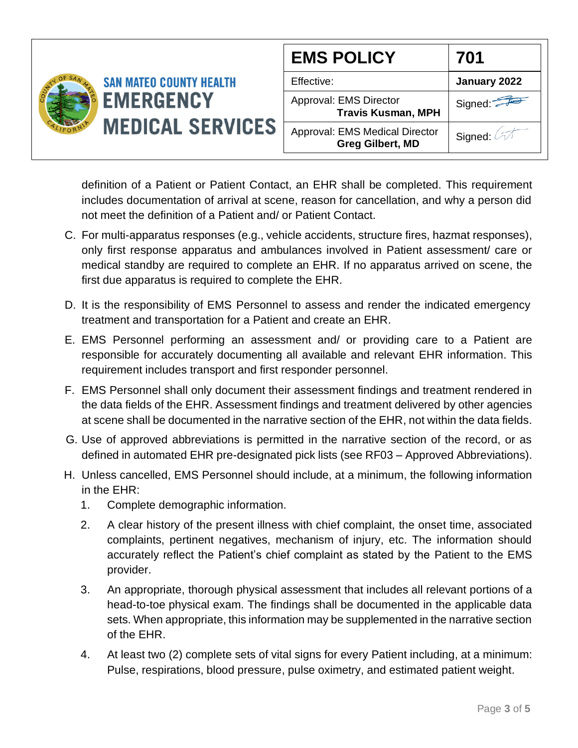

definition of a Patient or Patient Contact, an EHR shall be completed. This requirement includes documentation of arrival at scene, reason for cancellation, and why a person did not meet the definition of a Patient and/ or Patient Contact.

- C. For multi-apparatus responses (e.g., vehicle accidents, structure fires, hazmat responses), only first response apparatus and ambulances involved in Patient assessment/ care or medical standby are required to complete an EHR. If no apparatus arrived on scene, the first due apparatus is required to complete the EHR.
- D. It is the responsibility of EMS Personnel to assess and render the indicated emergency treatment and transportation for a Patient and create an EHR.
- E. EMS Personnel performing an assessment and/ or providing care to a Patient are responsible for accurately documenting all available and relevant EHR information. This requirement includes transport and first responder personnel.
- F. EMS Personnel shall only document their assessment findings and treatment rendered in the data fields of the EHR. Assessment findings and treatment delivered by other agencies at scene shall be documented in the narrative section of the EHR, not within the data fields.
- G. Use of approved abbreviations is permitted in the narrative section of the record, or as defined in automated EHR pre-designated pick lists (see RF03 – Approved Abbreviations).
- H. Unless cancelled, EMS Personnel should include, at a minimum, the following information in the EHR:
	- 1. Complete demographic information.
	- 2. A clear history of the present illness with chief complaint, the onset time, associated complaints, pertinent negatives, mechanism of injury, etc. The information should accurately reflect the Patient's chief complaint as stated by the Patient to the EMS provider.
	- 3. An appropriate, thorough physical assessment that includes all relevant portions of a head-to-toe physical exam. The findings shall be documented in the applicable data sets. When appropriate, this information may be supplemented in the narrative section of the EHR.
	- 4. At least two (2) complete sets of vital signs for every Patient including, at a minimum: Pulse, respirations, blood pressure, pulse oximetry, and estimated patient weight.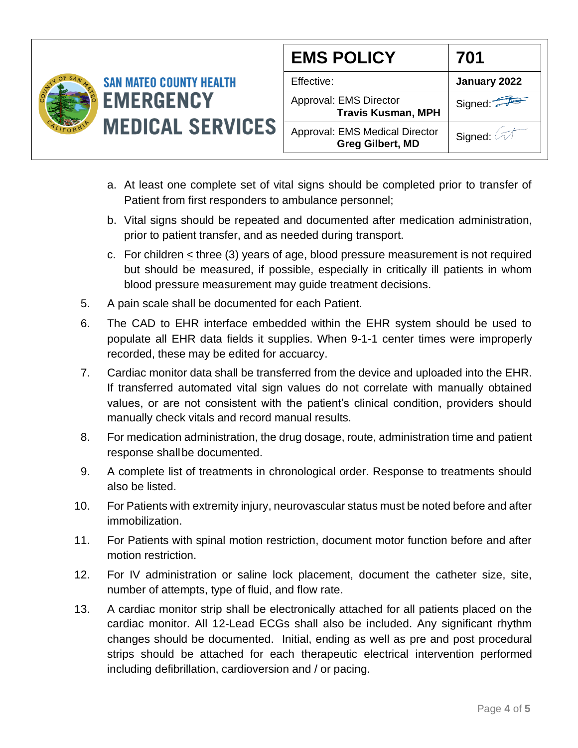

- a. At least one complete set of vital signs should be completed prior to transfer of Patient from first responders to ambulance personnel;
- b. Vital signs should be repeated and documented after medication administration, prior to patient transfer, and as needed during transport.
- c. For children < three (3) years of age, blood pressure measurement is not required but should be measured, if possible, especially in critically ill patients in whom blood pressure measurement may guide treatment decisions.
- 5. A pain scale shall be documented for each Patient.
- 6. The CAD to EHR interface embedded within the EHR system should be used to populate all EHR data fields it supplies. When 9-1-1 center times were improperly recorded, these may be edited for accuarcy.
- 7. Cardiac monitor data shall be transferred from the device and uploaded into the EHR. If transferred automated vital sign values do not correlate with manually obtained values, or are not consistent with the patient's clinical condition, providers should manually check vitals and record manual results.
- 8. For medication administration, the drug dosage, route, administration time and patient response shallbe documented.
- 9. A complete list of treatments in chronological order. Response to treatments should also be listed.
- 10. For Patients with extremity injury, neurovascular status must be noted before and after immobilization.
- 11. For Patients with spinal motion restriction, document motor function before and after motion restriction.
- 12. For IV administration or saline lock placement, document the catheter size, site, number of attempts, type of fluid, and flow rate.
- 13. A cardiac monitor strip shall be electronically attached for all patients placed on the cardiac monitor. All 12-Lead ECGs shall also be included. Any significant rhythm changes should be documented. Initial, ending as well as pre and post procedural strips should be attached for each therapeutic electrical intervention performed including defibrillation, cardioversion and / or pacing.